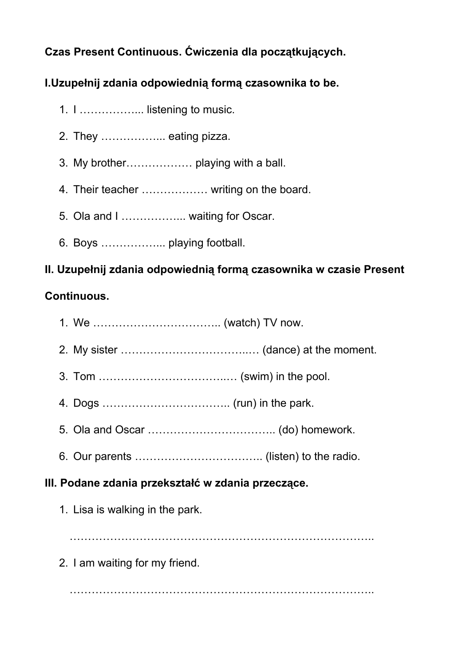# **Czas Present Continuous. Ćwiczenia dla początkujących.**

## **I.Uzupełnij zdania odpowiednią formą czasownika to be.**

- 1. I ……………... listening to music.
- 2. They ……………... eating pizza.
- 3. My brother……………… playing with a ball.
- 4. Their teacher ……………… writing on the board.
- 5. Ola and I ................... waiting for Oscar.
- 6. Boys ……………... playing football.

### **II. Uzupełnij zdania odpowiednią formą czasownika w czasie Present**

### **Continuous.**

- 1. We …………………………….. (watch) TV now.
- 2. My sister ……………………………..… (dance) at the moment.
- 3. Tom ……………………………..… (swim) in the pool.
- 4. Dogs …………………………….. (run) in the park.
- 5. Ola and Oscar …………………………….. (do) homework.
- 6. Our parents …………………………….. (listen) to the radio.

#### **III. Podane zdania przekształć w zdania przeczące.**

1. Lisa is walking in the park.

………………………………………………………………………..

2. I am waiting for my friend.

………………………………………………………………………..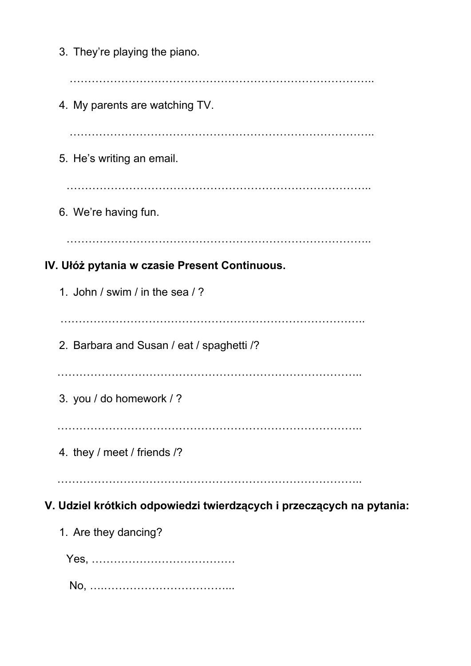3. They're playing the piano. ……………………………………………………………………….. 4. My parents are watching TV. ……………………………………………………………………….. 5. He's writing an email. ……………………………………………………………………….. 6. We're having fun. ……………………………………………………………………….. **IV. Ułóż pytania w czasie Present Continuous.** 1. John / swim / in the sea / ? ……………………………………………………………………….. 2. Barbara and Susan / eat / spaghetti /? ……………………………………………………………………….. 3. you / do homework / ? ……………………………………………………………………….. 4. they / meet / friends /? ……………………………………………………………………….. **V. Udziel krótkich odpowiedzi twierdzących i przeczących na pytania:** 1. Are they dancing? Yes, ………………………………… No, ….……………………………...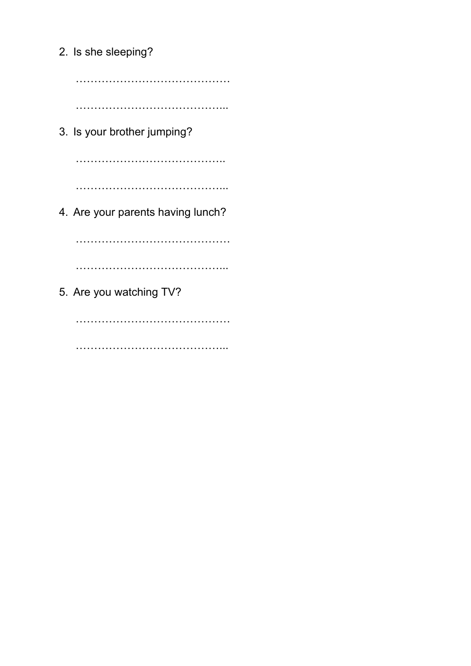2. Is she sleeping? …………………………………… …………………………………... 3. Is your brother jumping? ………………………………….. …………………………………... 4. Are your parents having lunch? …………………………………… …………………………………... 5. Are you watching TV? ……………………………………

………………………………………………